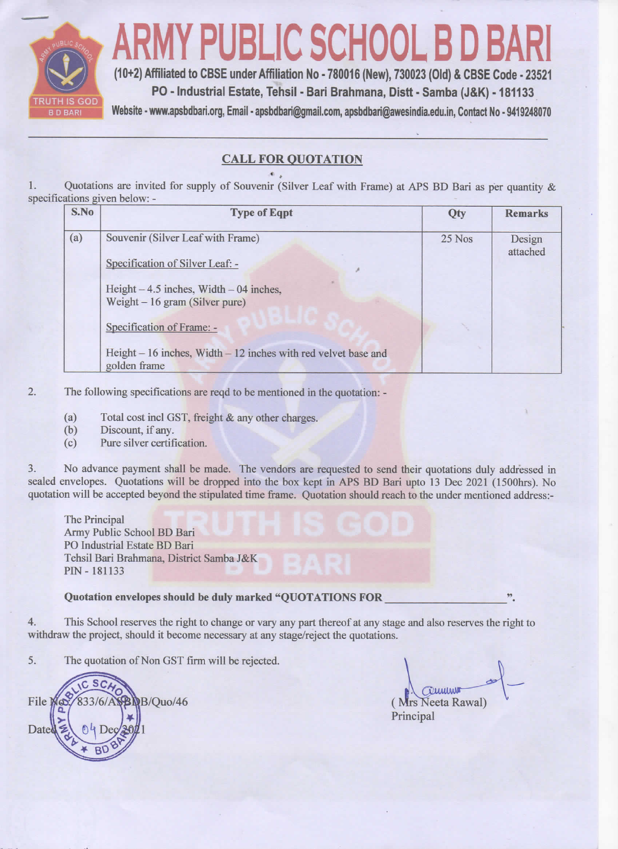

**MY PUBLIC SCHOOL B D** 

(10+2) Affiliated to CBSE under Affiliation No - 780016 (New), 730023 (Old) & CBSE Code - 23521 PO - Industrial Estate, Tehsil - Bari Brahmana, Distt - Samba (J&K) - 181133 Website - www.apsbdbari.org, Email - apsbdbari@gmail.com, apsbdbari@awesindia.edu.in, Contact No - 9419248070

## **CALL FOR QUOTATION**

Quotations are invited for supply of Souvenir (Silver Leaf with Frame) at APS BD Bari as per quantity & 1. specifications given below: -

| S.No | <b>Type of Eqpt</b>                                                              | Qty    | <b>Remarks</b>     |
|------|----------------------------------------------------------------------------------|--------|--------------------|
| (a)  | Souvenir (Silver Leaf with Frame)                                                | 25 Nos | Design<br>attached |
|      | Specification of Silver Leaf: -                                                  |        |                    |
|      | Height $-4.5$ inches, Width $-04$ inches,<br>Weight $-16$ gram (Silver pure)     |        |                    |
|      | Specification of Frame: -                                                        |        |                    |
|      | Height $-16$ inches, Width $-12$ inches with red velvet base and<br>golden frame |        |                    |

 $2.$ The following specifications are reqd to be mentioned in the quotation: -

- $(a)$ Total cost incl GST, freight & any other charges.
- Discount, if any.  $(b)$
- $(c)$ Pure silver certification.

No advance payment shall be made. The vendors are requested to send their quotations duly addressed in  $3.$ sealed envelopes. Quotations will be dropped into the box kept in APS BD Bari upto 13 Dec 2021 (1500hrs). No quotation will be accepted beyond the stipulated time frame. Quotation should reach to the under mentioned address:-

The Principal Army Public School BD Bari PO Industrial Estate BD Bari Tehsil Bari Brahmana, District Samba J&K PIN - 181133

## Ouotation envelopes should be duly marked "QUOTATIONS FOR

This School reserves the right to change or vary any part thereof at any stage and also reserves the right to  $4.$ withdraw the project, should it become necessary at any stage/reject the quotations.

The quotation of Non GST firm will be rejected.  $5.$ 

B/Ouo/46 File I 833/6/4 Date

Quum (Mrs Neeta Rawal) Principal

 $\overline{\phantom{a}}$